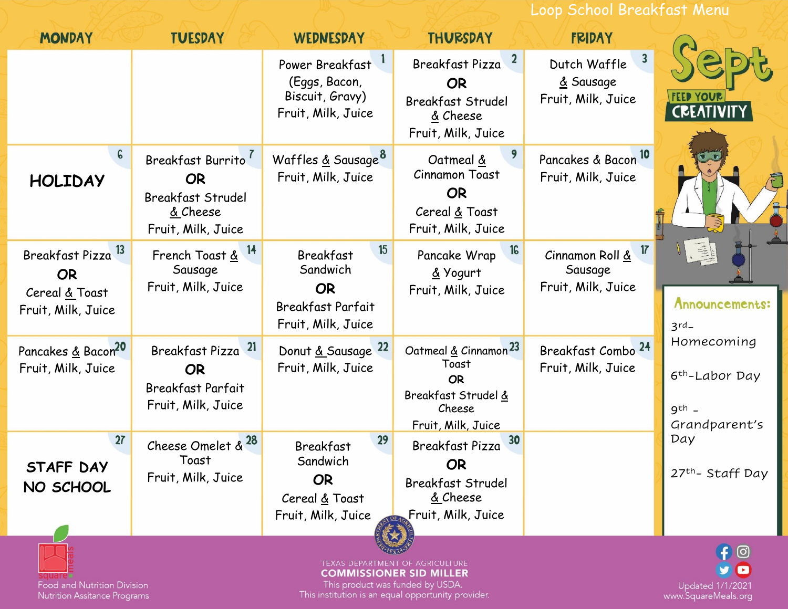Loop School Breakfast Menu

| <b>MONDAY</b>                                                              | <b>TUESDAY</b>                                                                               | <b>WEDNESDAY</b>                                                                                  | <b>THURSDAY</b>                                                                                               | <b>FRIDAY</b>                                                              |                                                                      |
|----------------------------------------------------------------------------|----------------------------------------------------------------------------------------------|---------------------------------------------------------------------------------------------------|---------------------------------------------------------------------------------------------------------------|----------------------------------------------------------------------------|----------------------------------------------------------------------|
|                                                                            |                                                                                              | Power Breakfast<br>(Eggs, Bacon,<br>Biscuit, Gravy)<br>Fruit, Milk, Juice                         | $\mathbf{z}$<br>Breakfast Pizza<br><b>OR</b><br><b>Breakfast Strudel</b><br>& Cheese<br>Fruit, Milk, Juice    | $\overline{\mathbf{3}}$<br>Dutch Waffle<br>& Sausage<br>Fruit, Milk, Juice | <b>FEED YOUR</b><br><b>CREATIVITY</b>                                |
| 6<br><b>HOLIDAY</b>                                                        | Breakfast Burrito<br><b>OR</b><br><b>Breakfast Strudel</b><br>& Cheese<br>Fruit, Milk, Juice | Waffles & Sausage <sup>8</sup><br>Fruit, Milk, Juice                                              | Oatmeal &<br><b>Cinnamon Toast</b><br><b>OR</b><br>Cereal & Toast<br>Fruit, Milk, Juice                       | Pancakes & Bacon <sup>10</sup><br>Fruit, Milk, Juice                       |                                                                      |
| 13<br>Breakfast Pizza<br><b>OR</b><br>Cereal & Toast<br>Fruit, Milk, Juice | 14<br>French Toast &<br>Sausage<br>Fruit, Milk, Juice                                        | 15<br><b>Breakfast</b><br>Sandwich<br><b>OR</b><br><b>Breakfast Parfait</b><br>Fruit, Milk, Juice | 16<br>Pancake Wrap<br>& Yogurt<br>Fruit, Milk, Juice                                                          | $\overline{17}$<br>Cinnamon Roll &<br>Sausage<br>Fruit, Milk, Juice        | Announcements:<br>$3rd-$                                             |
| Pancakes & Bacon <sup>20</sup><br>Fruit, Milk, Juice                       | 21<br>Breakfast Pizza<br><b>OR</b><br><b>Breakfast Parfait</b><br>Fruit, Milk, Juice         | Donut & Sausage 22<br>Fruit, Milk, Juice                                                          | Oatmeal & Cinnamon <sup>23</sup><br>Toast<br><b>OR</b><br>Breakfast Strudel &<br>Cheese<br>Fruit, Milk, Juice | Breakfast Combo <sup>24</sup><br>Fruit, Milk, Juice                        | Homecoming<br>6 <sup>th</sup> -Labor Day<br>$9th$ -<br>Grandparent's |
| 27<br>STAFF DAY<br>NO SCHOOL                                               | <b>28</b><br>Cheese Omelet &<br>Toast<br>Fruit, Milk, Juice                                  | 29<br><b>Breakfast</b><br>Sandwich<br><b>OR</b><br>Cereal & Toast<br>Fruit, Milk, Juice           | 30<br>Breakfast Pizza<br><b>OR</b><br><b>Breakfast Strudel</b><br>& Cheese<br>Fruit, Milk, Juice              |                                                                            | Day<br>27th-Staff Day                                                |
| and Nutrition Division                                                     | ြ                                                                                            |                                                                                                   |                                                                                                               |                                                                            |                                                                      |

Nutrition Assitance Programs

This product was funded by OSDA.<br>This institution is an equal opportunity provider.

Updated 1/1/2021<br>www.SquareMeals.org